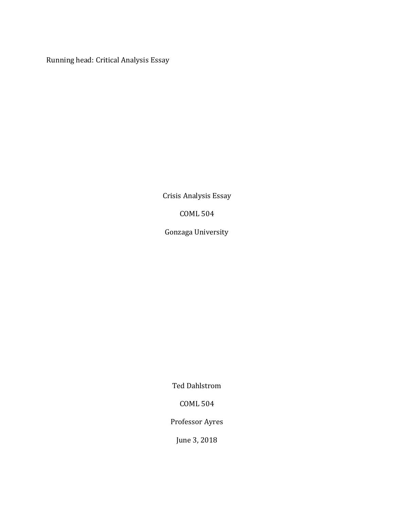Running head: Critical Analysis Essay

Crisis Analysis Essay

COML 504

Gonzaga University

Ted Dahlstrom

COML 504

Professor Ayres

June 3, 2018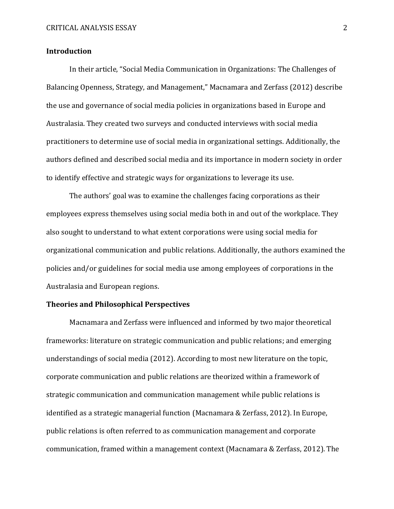## **Introduction**

In their article, "Social Media Communication in Organizations: The Challenges of Balancing Openness, Strategy, and Management," Macnamara and Zerfass (2012) describe the use and governance of social media policies in organizations based in Europe and Australasia. They created two surveys and conducted interviews with social media practitioners to determine use of social media in organizational settings. Additionally, the authors defined and described social media and its importance in modern society in order to identify effective and strategic ways for organizations to leverage its use.

The authors' goal was to examine the challenges facing corporations as their employees express themselves using social media both in and out of the workplace. They also sought to understand to what extent corporations were using social media for organizational communication and public relations. Additionally, the authors examined the policies and/or guidelines for social media use among employees of corporations in the Australasia and European regions.

# **Theories and Philosophical Perspectives**

Macnamara and Zerfass were influenced and informed by two major theoretical frameworks: literature on strategic communication and public relations; and emerging understandings of social media (2012). According to most new literature on the topic, corporate communication and public relations are theorized within a framework of strategic communication and communication management while public relations is identified as a strategic managerial function (Macnamara & Zerfass, 2012). In Europe, public relations is often referred to as communication management and corporate communication, framed within a management context (Macnamara & Zerfass, 2012). The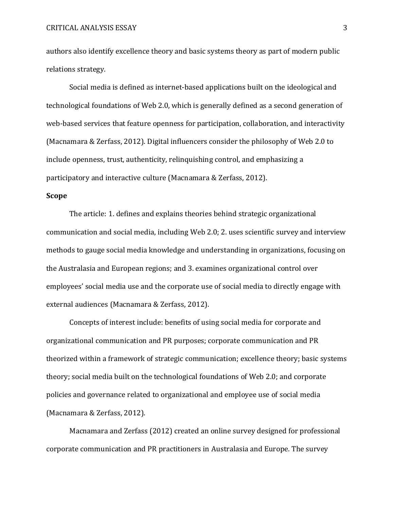authors also identify excellence theory and basic systems theory as part of modern public relations strategy.

Social media is defined as internet-based applications built on the ideological and technological foundations of Web 2.0, which is generally defined as a second generation of web-based services that feature openness for participation, collaboration, and interactivity (Macnamara & Zerfass, 2012). Digital influencers consider the philosophy of Web 2.0 to include openness, trust, authenticity, relinquishing control, and emphasizing a participatory and interactive culture (Macnamara & Zerfass, 2012).

### **Scope**

The article: 1. defines and explains theories behind strategic organizational communication and social media, including Web 2.0; 2. uses scientific survey and interview methods to gauge social media knowledge and understanding in organizations, focusing on the Australasia and European regions; and 3. examines organizational control over employees' social media use and the corporate use of social media to directly engage with external audiences (Macnamara & Zerfass, 2012).

Concepts of interest include: benefits of using social media for corporate and organizational communication and PR purposes; corporate communication and PR theorized within a framework of strategic communication; excellence theory; basic systems theory; social media built on the technological foundations of Web 2.0; and corporate policies and governance related to organizational and employee use of social media (Macnamara & Zerfass, 2012).

Macnamara and Zerfass (2012) created an online survey designed for professional corporate communication and PR practitioners in Australasia and Europe. The survey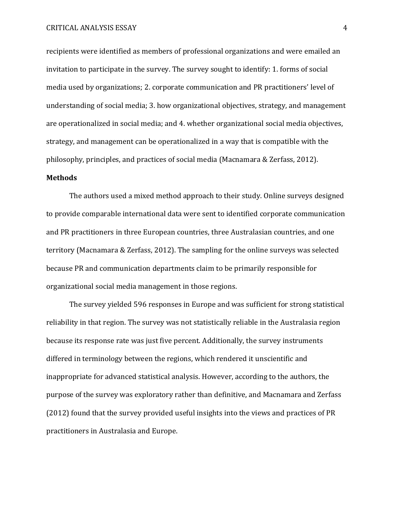recipients were identified as members of professional organizations and were emailed an invitation to participate in the survey. The survey sought to identify: 1. forms of social media used by organizations; 2. corporate communication and PR practitioners' level of understanding of social media; 3. how organizational objectives, strategy, and management are operationalized in social media; and 4. whether organizational social media objectives, strategy, and management can be operationalized in a way that is compatible with the philosophy, principles, and practices of social media (Macnamara & Zerfass, 2012).

### **Methods**

The authors used a mixed method approach to their study. Online surveys designed to provide comparable international data were sent to identified corporate communication and PR practitioners in three European countries, three Australasian countries, and one territory (Macnamara & Zerfass, 2012). The sampling for the online surveys was selected because PR and communication departments claim to be primarily responsible for organizational social media management in those regions.

The survey yielded 596 responses in Europe and was sufficient for strong statistical reliability in that region. The survey was not statistically reliable in the Australasia region because its response rate was just five percent. Additionally, the survey instruments differed in terminology between the regions, which rendered it unscientific and inappropriate for advanced statistical analysis. However, according to the authors, the purpose of the survey was exploratory rather than definitive, and Macnamara and Zerfass (2012) found that the survey provided useful insights into the views and practices of PR practitioners in Australasia and Europe.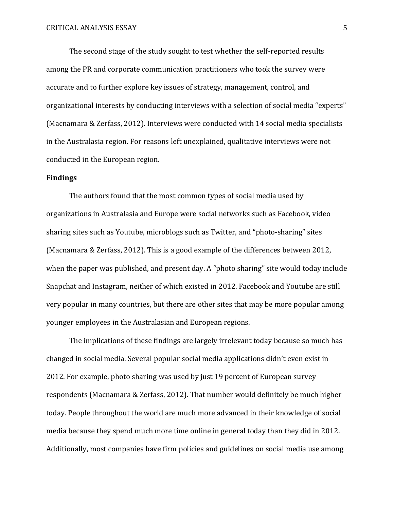The second stage of the study sought to test whether the self-reported results among the PR and corporate communication practitioners who took the survey were accurate and to further explore key issues of strategy, management, control, and organizational interests by conducting interviews with a selection of social media "experts" (Macnamara & Zerfass, 2012). Interviews were conducted with 14 social media specialists in the Australasia region. For reasons left unexplained, qualitative interviews were not conducted in the European region.

## **Findings**

The authors found that the most common types of social media used by organizations in Australasia and Europe were social networks such as Facebook, video sharing sites such as Youtube, microblogs such as Twitter, and "photo-sharing" sites (Macnamara & Zerfass, 2012). This is a good example of the differences between 2012, when the paper was published, and present day. A "photo sharing" site would today include Snapchat and Instagram, neither of which existed in 2012. Facebook and Youtube are still very popular in many countries, but there are other sites that may be more popular among younger employees in the Australasian and European regions.

The implications of these findings are largely irrelevant today because so much has changed in social media. Several popular social media applications didn't even exist in 2012. For example, photo sharing was used by just 19 percent of European survey respondents (Macnamara & Zerfass, 2012). That number would definitely be much higher today. People throughout the world are much more advanced in their knowledge of social media because they spend much more time online in general today than they did in 2012. Additionally, most companies have firm policies and guidelines on social media use among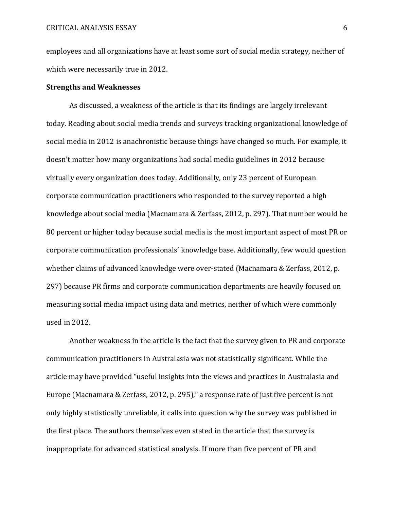employees and all organizations have at least some sort of social media strategy, neither of which were necessarily true in 2012.

#### **Strengths and Weaknesses**

As discussed, a weakness of the article is that its findings are largely irrelevant today. Reading about social media trends and surveys tracking organizational knowledge of social media in 2012 is anachronistic because things have changed so much. For example, it doesn't matter how many organizations had social media guidelines in 2012 because virtually every organization does today. Additionally, only 23 percent of European corporate communication practitioners who responded to the survey reported a high knowledge about social media (Macnamara & Zerfass, 2012, p. 297). That number would be 80 percent or higher today because social media is the most important aspect of most PR or corporate communication professionals' knowledge base. Additionally, few would question whether claims of advanced knowledge were over-stated (Macnamara & Zerfass, 2012, p. 297) because PR firms and corporate communication departments are heavily focused on measuring social media impact using data and metrics, neither of which were commonly used in 2012.

Another weakness in the article is the fact that the survey given to PR and corporate communication practitioners in Australasia was not statistically significant. While the article may have provided "useful insights into the views and practices in Australasia and Europe (Macnamara & Zerfass, 2012, p. 295)," a response rate of just five percent is not only highly statistically unreliable, it calls into question why the survey was published in the first place. The authors themselves even stated in the article that the survey is inappropriate for advanced statistical analysis. If more than five percent of PR and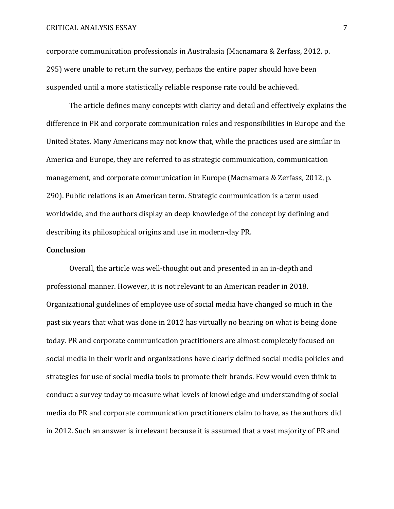#### CRITICAL ANALYSIS ESSAY 7

corporate communication professionals in Australasia (Macnamara & Zerfass, 2012, p. 295) were unable to return the survey, perhaps the entire paper should have been suspended until a more statistically reliable response rate could be achieved.

The article defines many concepts with clarity and detail and effectively explains the difference in PR and corporate communication roles and responsibilities in Europe and the United States. Many Americans may not know that, while the practices used are similar in America and Europe, they are referred to as strategic communication, communication management, and corporate communication in Europe (Macnamara & Zerfass, 2012, p. 290). Public relations is an American term. Strategic communication is a term used worldwide, and the authors display an deep knowledge of the concept by defining and describing its philosophical origins and use in modern-day PR.

#### **Conclusion**

Overall, the article was well-thought out and presented in an in-depth and professional manner. However, it is not relevant to an American reader in 2018. Organizational guidelines of employee use of social media have changed so much in the past six years that what was done in 2012 has virtually no bearing on what is being done today. PR and corporate communication practitioners are almost completely focused on social media in their work and organizations have clearly defined social media policies and strategies for use of social media tools to promote their brands. Few would even think to conduct a survey today to measure what levels of knowledge and understanding of social media do PR and corporate communication practitioners claim to have, as the authors did in 2012. Such an answer is irrelevant because it is assumed that a vast majority of PR and